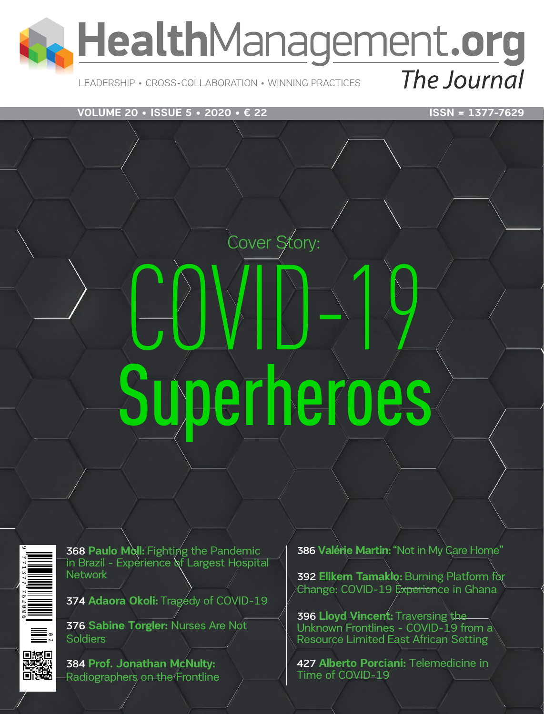

# LEADERSHIP • CROSS-COLLABORATION • WINNING PRACTICES

## **VOLUME 20 • ISSUE 5 • 2020 • € 22** ISSN = 1377-7629

# COVID-19 Superheroes

Cover Story:



**368 Paulo Moll:** Fighting the Pandemic in Brazil - Experience of Largest Hospital Network

374 Adaora Okoli: Tragedy of COVID-19

376 **Sabine Torgler:** Nurses Are Not **Soldiers** 

384 **Prof. Jonathan McNulty:**  Radiographers on the Frontline 386 **Valérie Martin:** "Not in My Care Home"

392 **Elikem Tamaklo:** Burning Platform for Change: COVID-19 Experience in Ghana

396 **Lloyd Vincent:** Traversing the Unknown Frontlines - COVID-19 from a Resource Limited East African Setting

427 **Alberto Porciani:** Telemedicine in Time of COVID-19